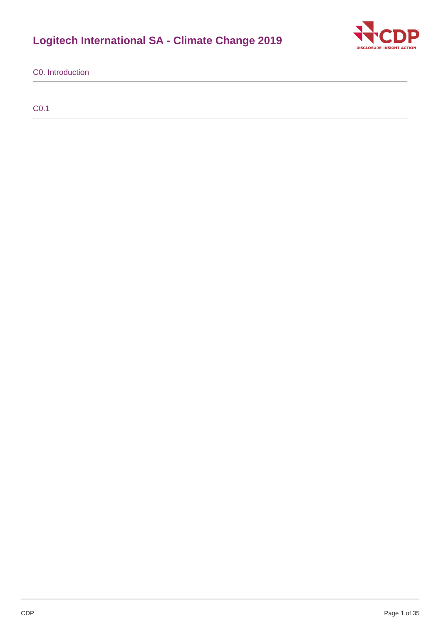# **Logitech International SA - Climate Change 2019**



C0. Introduction

C0.1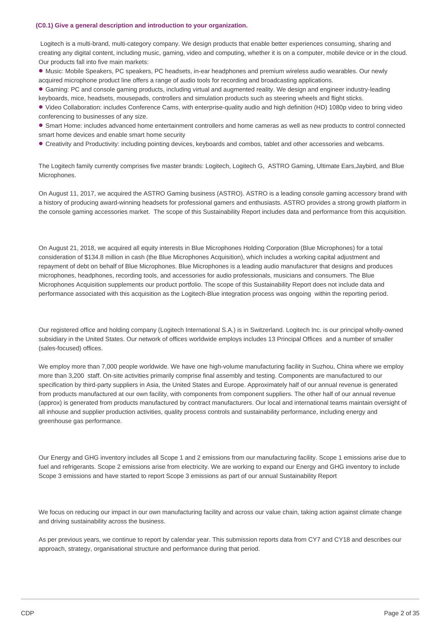#### **(C0.1) Give a general description and introduction to your organization.**

Logitech is a multi-brand, multi-category company. We design products that enable better experiences consuming, sharing and creating any digital content, including music, gaming, video and computing, whether it is on a computer, mobile device or in the cloud. Our products fall into five main markets:

• Music: Mobile Speakers, PC speakers, PC headsets, in-ear headphones and premium wireless audio wearables. Our newly acquired microphone product line offers a range of audio tools for recording and broadcasting applications.

• Gaming: PC and console gaming products, including virtual and augmented reality. We design and engineer industry-leading keyboards, mice, headsets, mousepads, controllers and simulation products such as steering wheels and flight sticks.

• Video Collaboration: includes Conference Cams, with enterprise-quality audio and high definition (HD) 1080p video to bring video conferencing to businesses of any size.

• Smart Home: includes advanced home entertainment controllers and home cameras as well as new products to control connected smart home devices and enable smart home security

Creativity and Productivity: including pointing devices, keyboards and combos, tablet and other accessories and webcams. •

The Logitech family currently comprises five master brands: Logitech, Logitech G, ASTRO Gaming, Ultimate Ears,Jaybird, and Blue Microphones.

On August 11, 2017, we acquired the ASTRO Gaming business (ASTRO). ASTRO is a leading console gaming accessory brand with a history of producing award-winning headsets for professional gamers and enthusiasts. ASTRO provides a strong growth platform in the console gaming accessories market. The scope of this Sustainability Report includes data and performance from this acquisition.

On August 21, 2018, we acquired all equity interests in Blue Microphones Holding Corporation (Blue Microphones) for a total consideration of \$134.8 million in cash (the Blue Microphones Acquisition), which includes a working capital adjustment and repayment of debt on behalf of Blue Microphones. Blue Microphones is a leading audio manufacturer that designs and produces microphones, headphones, recording tools, and accessories for audio professionals, musicians and consumers. The Blue Microphones Acquisition supplements our product portfolio. The scope of this Sustainability Report does not include data and performance associated with this acquisition as the Logitech-Blue integration process was ongoing within the reporting period.

Our registered office and holding company (Logitech International S.A.) is in Switzerland. Logitech Inc. is our principal wholly-owned subsidiary in the United States. Our network of offices worldwide employs includes 13 Principal Offices and a number of smaller (sales-focused) offices.

We employ more than 7,000 people worldwide. We have one high-volume manufacturing facility in Suzhou, China where we employ more than 3,200 staff. On-site activities primarily comprise final assembly and testing. Components are manufactured to our specification by third-party suppliers in Asia, the United States and Europe. Approximately half of our annual revenue is generated from products manufactured at our own facility, with components from component suppliers. The other half of our annual revenue (approx) is generated from products manufactured by contract manufacturers. Our local and international teams maintain oversight of all inhouse and supplier production activities, quality process controls and sustainability performance, including energy and greenhouse gas performance.

Our Energy and GHG inventory includes all Scope 1 and 2 emissions from our manufacturing facility. Scope 1 emissions arise due to fuel and refrigerants. Scope 2 emissions arise from electricity. We are working to expand our Energy and GHG inventory to include Scope 3 emissions and have started to report Scope 3 emissions as part of our annual Sustainability Report

We focus on reducing our impact in our own manufacturing facility and across our value chain, taking action against climate change and driving sustainability across the business.

As per previous years, we continue to report by calendar year. This submission reports data from CY7 and CY18 and describes our approach, strategy, organisational structure and performance during that period.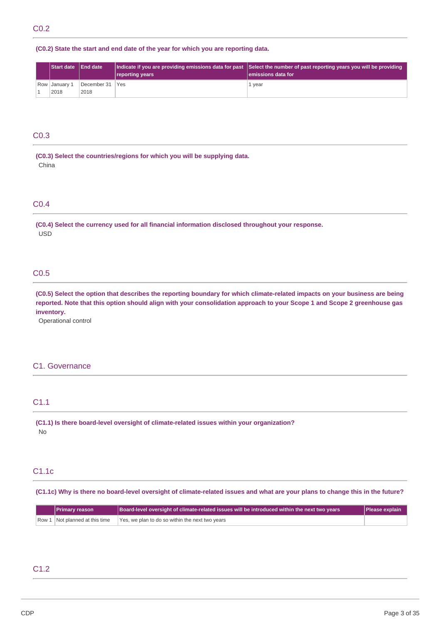## **(C0.2) State the start and end date of the year for which you are reporting data.**

|  | <b>Start date IEnd date</b> |                 | reporting years | Indicate if you are providing emissions data for past Select the number of past reporting years you will be providing<br>lemissions data for |
|--|-----------------------------|-----------------|-----------------|----------------------------------------------------------------------------------------------------------------------------------------------|
|  | Row   January 1             | December 31 Yes |                 | 1 year                                                                                                                                       |
|  | 2018                        | 2018            |                 |                                                                                                                                              |

## C0.3

**(C0.3) Select the countries/regions for which you will be supplying data.** China

### C0.4

**(C0.4) Select the currency used for all financial information disclosed throughout your response.** USD

## C0.5

(C0.5) Select the option that describes the reporting boundary for which climate-related impacts on your business are being reported. Note that this option should align with your consolidation approach to your Scope 1 and Scope 2 greenhouse gas **inventory.**

Operational control

### C1. Governance

## C1.1

**(C1.1) Is there board-level oversight of climate-related issues within your organization?** No

## C1.1c

(C1.1c) Why is there no board-level oversight of climate-related issues and what are your plans to change this in the future?

| <b>Primary reason</b>          | Board-level oversight of climate-related issues will be introduced within the next two years | Please explain |
|--------------------------------|----------------------------------------------------------------------------------------------|----------------|
| Row 1 Not planned at this time | Yes, we plan to do so within the next two years                                              |                |

## C1.2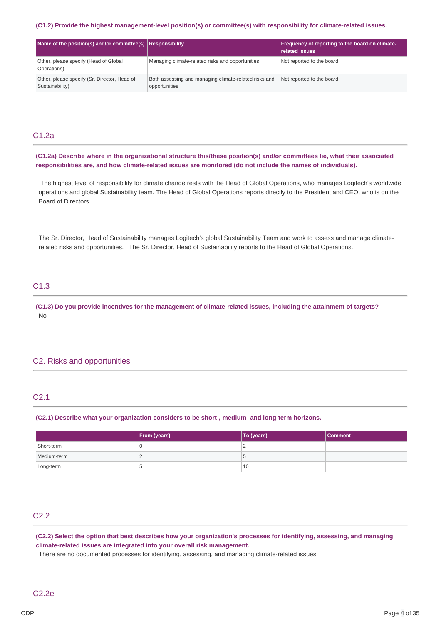#### **(C1.2) Provide the highest management-level position(s) or committee(s) with responsibility for climate-related issues.**

| Name of the position(s) and/or committee(s) $ $ Responsibility  |                                                                        | Frequency of reporting to the board on climate-<br>related issues |
|-----------------------------------------------------------------|------------------------------------------------------------------------|-------------------------------------------------------------------|
| Other, please specify (Head of Global<br>Operations)            | Managing climate-related risks and opportunities                       | Not reported to the board                                         |
| Other, please specify (Sr. Director, Head of<br>Sustainability) | Both assessing and managing climate-related risks and<br>opportunities | Not reported to the board                                         |

## C1.2a

(C1.2a) Describe where in the organizational structure this/these position(s) and/or committees lie, what their associated **responsibilities are, and how climate-related issues are monitored (do not include the names of individuals).**

The highest level of responsibility for climate change rests with the Head of Global Operations, who manages Logitech's worldwide operations and global Sustainability team. The Head of Global Operations reports directly to the President and CEO, who is on the Board of Directors.

The Sr. Director, Head of Sustainability manages Logitech's global Sustainability Team and work to assess and manage climaterelated risks and opportunities. The Sr. Director, Head of Sustainability reports to the Head of Global Operations.

## C1.3

(C1.3) Do you provide incentives for the management of climate-related issues, including the attainment of targets? No

### C2. Risks and opportunities

### C2.1

**(C2.1) Describe what your organization considers to be short-, medium- and long-term horizons.**

|             | <b>From (years)</b> | To (years) | Comment |
|-------------|---------------------|------------|---------|
| Short-term  |                     | ∼          |         |
| Medium-term |                     | G          |         |
| Long-term   |                     | 10         |         |

## C2.2

(C2.2) Select the option that best describes how your organization's processes for identifying, assessing, and managing **climate-related issues are integrated into your overall risk management.**

There are no documented processes for identifying, assessing, and managing climate-related issues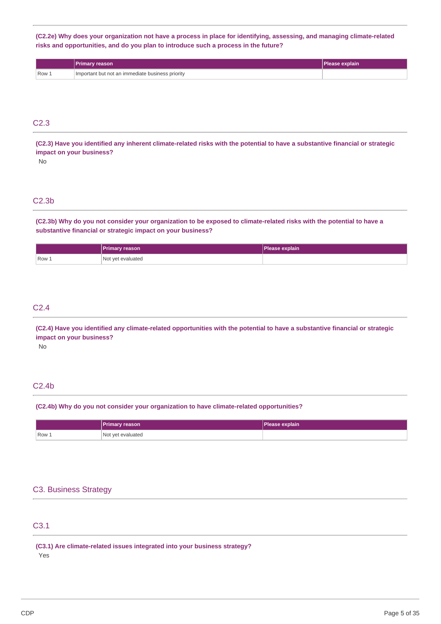(C2.2e) Why does your organization not have a process in place for identifying, assessing, and managing climate-related **risks and opportunities, and do you plan to introduce such a process in the future?**

|                  | <b>Primary reason</b>                            | Please explain |
|------------------|--------------------------------------------------|----------------|
| Row <sub>~</sub> | Important but not an immediate business priority |                |

## C2.3

(C2.3) Have you identified any inherent climate-related risks with the potential to have a substantive financial or strategic **impact on your business?**

No

## C2.3b

(C2.3b) Why do you not consider your organization to be exposed to climate-related risks with the potential to have a **substantive financial or strategic impact on your business?**

|       | Primary reason    | Please explain |
|-------|-------------------|----------------|
| Row 1 | Not yet evaluated |                |

## C2.4

(C2.4) Have you identified any climate-related opportunities with the potential to have a substantive financial or strategic **impact on your business?**

No

## C2.4b

### **(C2.4b) Why do you not consider your organization to have climate-related opportunities?**

|         | <b>Primary reason</b> | Please explain |
|---------|-----------------------|----------------|
| $Row_1$ | Not yet evaluated     |                |

### C3. Business Strategy

## C3.1

**(C3.1) Are climate-related issues integrated into your business strategy?** Yes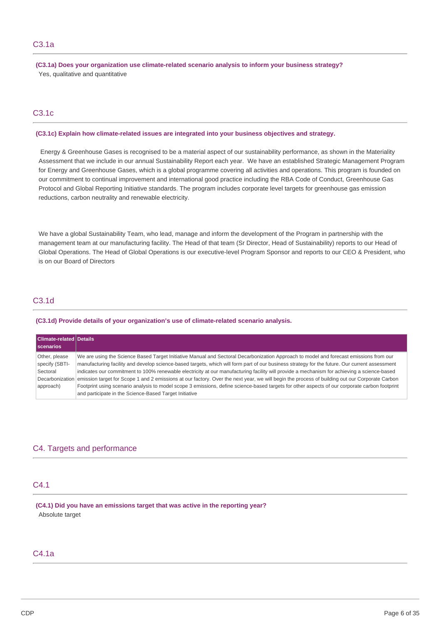**(C3.1a) Does your organization use climate-related scenario analysis to inform your business strategy?** Yes, qualitative and quantitative

## C3.1c

### **(C3.1c) Explain how climate-related issues are integrated into your business objectives and strategy.**

Energy & Greenhouse Gases is recognised to be a material aspect of our sustainability performance, as shown in the Materiality Assessment that we include in our annual Sustainability Report each year. We have an established Strategic Management Program for Energy and Greenhouse Gases, which is a global programme covering all activities and operations. This program is founded on our commitment to continual improvement and international good practice including the RBA Code of Conduct, Greenhouse Gas Protocol and Global Reporting Initiative standards. The program includes corporate level targets for greenhouse gas emission reductions, carbon neutrality and renewable electricity.

We have a global Sustainability Team, who lead, manage and inform the development of the Program in partnership with the management team at our manufacturing facility. The Head of that team (Sr Director, Head of Sustainability) reports to our Head of Global Operations. The Head of Global Operations is our executive-level Program Sponsor and reports to our CEO & President, who is on our Board of Directors

## C3.1d

#### **(C3.1d) Provide details of your organization's use of climate-related scenario analysis.**

| Climate-related Details<br><b>Scenarios</b> |                                                                                                                                                |
|---------------------------------------------|------------------------------------------------------------------------------------------------------------------------------------------------|
| Other, please                               | We are using the Science Based Target Initiative Manual and Sectoral Decarbonization Approach to model and forecast emissions from our         |
| specify (SBTI-                              | manufacturing facility and develop science-based targets, which will form part of our business strategy for the future. Our current assessment |
| Sectoral                                    | indicates our commitment to 100% renewable electricity at our manufacturing facility will provide a mechanism for achieving a science-based    |
| Decarbonization                             | emission target for Scope 1 and 2 emissions at our factory. Over the next year, we will begin the process of building out our Corporate Carbon |
| approach)                                   | Footprint using scenario analysis to model scope 3 emissions, define science-based targets for other aspects of our corporate carbon footprint |
|                                             | and participate in the Science-Based Target Initiative                                                                                         |

## C4. Targets and performance

## C4.1

### **(C4.1) Did you have an emissions target that was active in the reporting year?** Absolute target

## C4.1a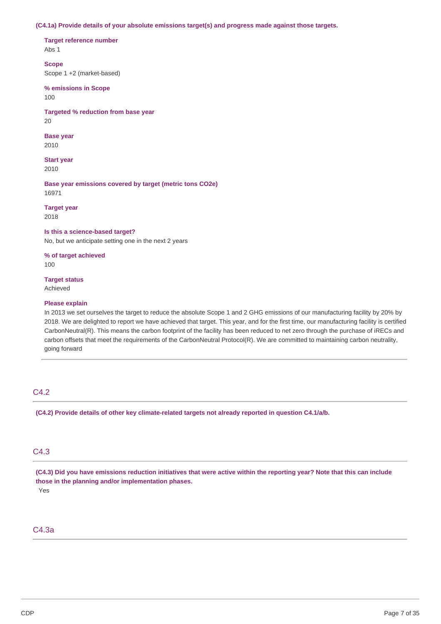#### **(C4.1a) Provide details of your absolute emissions target(s) and progress made against those targets.**

**Target reference number**

Abs 1

**Scope** Scope 1 +2 (market-based)

**% emissions in Scope** 100

**Targeted % reduction from base year** 20

**Base year** 2010

**Start year** 2010

**Base year emissions covered by target (metric tons CO2e)** 16971

**Target year** 2018

**Is this a science-based target?**

No, but we anticipate setting one in the next 2 years

**% of target achieved** 100

**Target status**

Achieved

#### **Please explain**

In 2013 we set ourselves the target to reduce the absolute Scope 1 and 2 GHG emissions of our manufacturing facility by 20% by 2018. We are delighted to report we have achieved that target. This year, and for the first time, our manufacturing facility is certified CarbonNeutral(R). This means the carbon footprint of the facility has been reduced to net zero through the purchase of iRECs and carbon offsets that meet the requirements of the CarbonNeutral Protocol(R). We are committed to maintaining carbon neutrality, going forward

## C4.2

**(C4.2) Provide details of other key climate-related targets not already reported in question C4.1/a/b.**

## C4.3

(C4.3) Did you have emissions reduction initiatives that were active within the reporting year? Note that this can include **those in the planning and/or implementation phases.** Yes

### C4.3a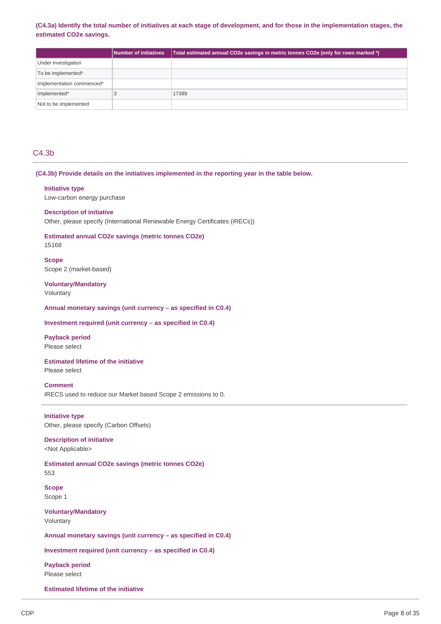#### (C4.3a) Identify the total number of initiatives at each stage of development, and for those in the implementation stages, the **estimated CO2e savings.**

|                           | Number of initiatives | Total estimated annual CO2e savings in metric tonnes CO2e (only for rows marked *) |
|---------------------------|-----------------------|------------------------------------------------------------------------------------|
| Under investigation       |                       |                                                                                    |
| To be implemented*        |                       |                                                                                    |
| Implementation commenced* |                       |                                                                                    |
| Implemented*              |                       | 17389                                                                              |
| Not to be implemented     |                       |                                                                                    |

## C4.3b

#### **(C4.3b) Provide details on the initiatives implemented in the reporting year in the table below.**

#### **Initiative type**

Low-carbon energy purchase

#### **Description of initiative**

Other, please specify (International Renewable Energy Certificates (iRECs))

## **Estimated annual CO2e savings (metric tonnes CO2e)**

15168

### **Scope** Scope 2 (market-based)

**Voluntary/Mandatory**

Voluntary

#### **Annual monetary savings (unit currency – as specified in C0.4)**

### **Investment required (unit currency – as specified in C0.4)**

### **Payback period**

Please select

### **Estimated lifetime of the initiative**

Please select

## **Comment**

IRECS used to reduce our Market based Scope 2 emissions to 0.

#### **Initiative type**

Other, please specify (Carbon Offsets)

#### **Description of initiative** <Not Applicable>

#### **Estimated annual CO2e savings (metric tonnes CO2e)** 553

**Scope** Scope 1

### **Voluntary/Mandatory** Voluntary

**Annual monetary savings (unit currency – as specified in C0.4)**

**Investment required (unit currency – as specified in C0.4)**

**Payback period** Please select

**Estimated lifetime of the initiative**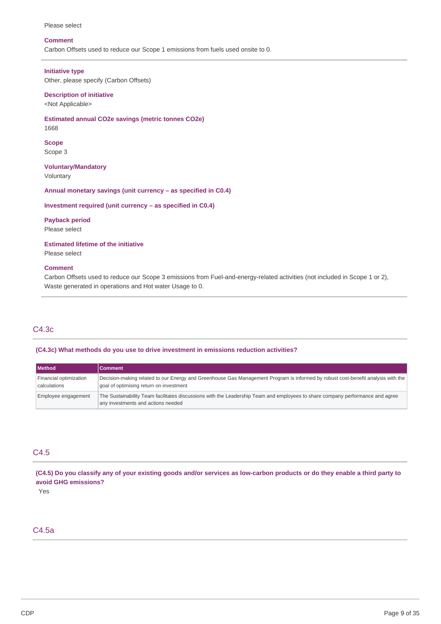#### Please select

#### **Comment**

Carbon Offsets used to reduce our Scope 1 emissions from fuels used onsite to 0.

#### **Initiative type**

Other, please specify (Carbon Offsets)

#### **Description of initiative**

<Not Applicable>

**Estimated annual CO2e savings (metric tonnes CO2e)** 1668

**Scope**

Scope 3

**Voluntary/Mandatory** Voluntary

**Annual monetary savings (unit currency – as specified in C0.4)**

#### **Investment required (unit currency – as specified in C0.4)**

# **Payback period**

Please select

**Estimated lifetime of the initiative**

Please select

#### **Comment**

Carbon Offsets used to reduce our Scope 3 emissions from Fuel-and-energy-related activities (not included in Scope 1 or 2), Waste generated in operations and Hot water Usage to 0.

## C4.3c

#### **(C4.3c) What methods do you use to drive investment in emissions reduction activities?**

| <b>Method</b>                          | <b>Comment</b>                                                                                                                                                              |
|----------------------------------------|-----------------------------------------------------------------------------------------------------------------------------------------------------------------------------|
| Financial optimization<br>calculations | Decision-making related to our Energy and Greenhouse Gas Management Program is informed by robust cost-benefit analysis with the<br>goal of optimising return on investment |
| Employee engagement                    | The Sustainability Team facilitates discussions with the Leadership Team and employees to share company performance and agree<br>any investments and actions needed         |

## C4.5

(C4.5) Do you classify any of your existing goods and/or services as low-carbon products or do they enable a third party to **avoid GHG emissions?**

Yes

## C4.5a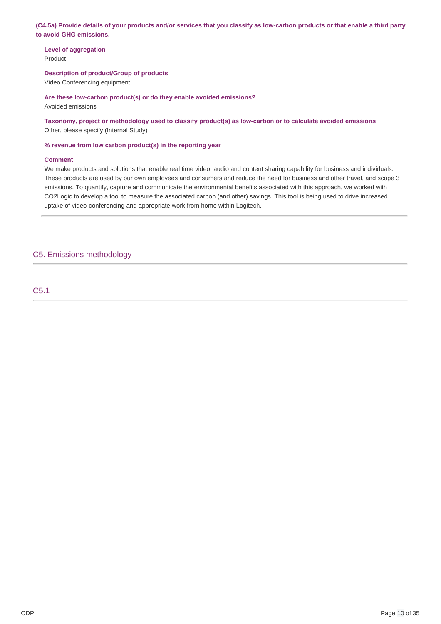(C4.5a) Provide details of your products and/or services that you classify as low-carbon products or that enable a third party **to avoid GHG emissions.**

**Level of aggregation** Product

**Description of product/Group of products**

Video Conferencing equipment

**Are these low-carbon product(s) or do they enable avoided emissions?**

Avoided emissions

**Taxonomy, project or methodology used to classify product(s) as low-carbon or to calculate avoided emissions** Other, please specify (Internal Study)

**% revenue from low carbon product(s) in the reporting year**

#### **Comment**

We make products and solutions that enable real time video, audio and content sharing capability for business and individuals. These products are used by our own employees and consumers and reduce the need for business and other travel, and scope 3 emissions. To quantify, capture and communicate the environmental benefits associated with this approach, we worked with CO2Logic to develop a tool to measure the associated carbon (and other) savings. This tool is being used to drive increased uptake of video-conferencing and appropriate work from home within Logitech.

## C5. Emissions methodology

C5.1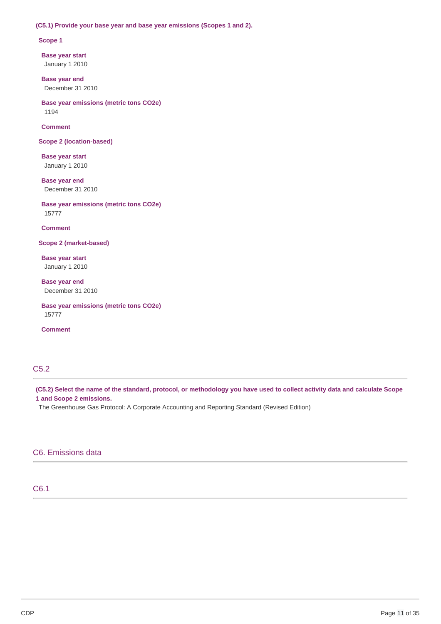#### **(C5.1) Provide your base year and base year emissions (Scopes 1 and 2).**

#### **Scope 1**

**Base year start** January 1 2010

**Base year end** December 31 2010

**Base year emissions (metric tons CO2e)** 1194

**Comment**

**Scope 2 (location-based)**

**Base year start** January 1 2010

**Base year end** December 31 2010

**Base year emissions (metric tons CO2e)** 15777

**Comment**

**Scope 2 (market-based)**

**Base year start** January 1 2010

**Base year end** December 31 2010

**Base year emissions (metric tons CO2e)** 15777

**Comment**

## C5.2

(C5.2) Select the name of the standard, protocol, or methodology you have used to collect activity data and calculate Scope **1 and Scope 2 emissions.**

The Greenhouse Gas Protocol: A Corporate Accounting and Reporting Standard (Revised Edition)

## C6. Emissions data

## C6.1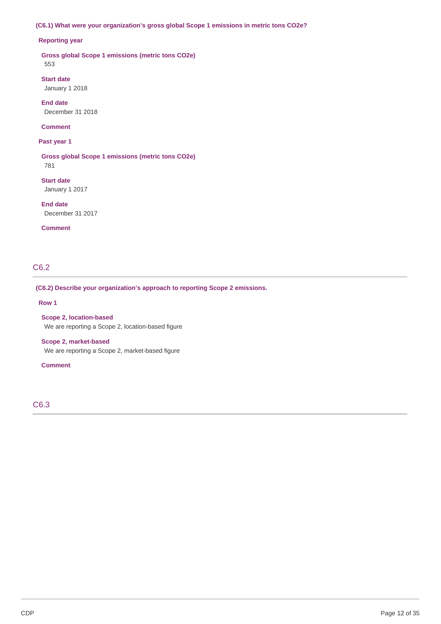### **(C6.1) What were your organization's gross global Scope 1 emissions in metric tons CO2e?**

### **Reporting year**

**Gross global Scope 1 emissions (metric tons CO2e)** 553

**Start date** January 1 2018

**End date** December 31 2018

### **Comment**

#### **Past year 1**

**Gross global Scope 1 emissions (metric tons CO2e)** 781

**Start date** January 1 2017

**End date** December 31 2017

#### **Comment**

## C6.2

### **(C6.2) Describe your organization's approach to reporting Scope 2 emissions.**

#### **Row 1**

**Scope 2, location-based** We are reporting a Scope 2, location-based figure

#### **Scope 2, market-based**

We are reporting a Scope 2, market-based figure

#### **Comment**

C6.3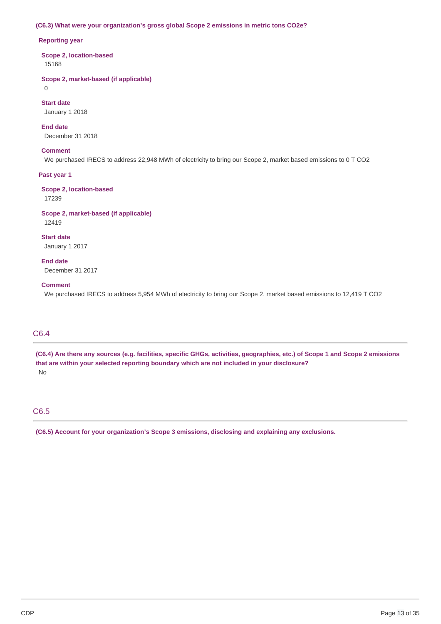### **(C6.3) What were your organization's gross global Scope 2 emissions in metric tons CO2e?**

#### **Reporting year**

**Scope 2, location-based** 15168

**Scope 2, market-based (if applicable)**

0

**Start date**

January 1 2018

**End date** December 31 2018

### **Comment**

We purchased IRECS to address 22,948 MWh of electricity to bring our Scope 2, market based emissions to 0 T CO2

### **Past year 1**

**Scope 2, location-based** 17239

#### **Scope 2, market-based (if applicable)** 12419

**Start date** January 1 2017

### **End date**

December 31 2017

#### **Comment**

We purchased IRECS to address 5,954 MWh of electricity to bring our Scope 2, market based emissions to 12,419 T CO2

## C6.4

(C6.4) Are there any sources (e.g. facilities, specific GHGs, activities, geographies, etc.) of Scope 1 and Scope 2 emissions **that are within your selected reporting boundary which are not included in your disclosure?** No

## C6.5

**(C6.5) Account for your organization's Scope 3 emissions, disclosing and explaining any exclusions.**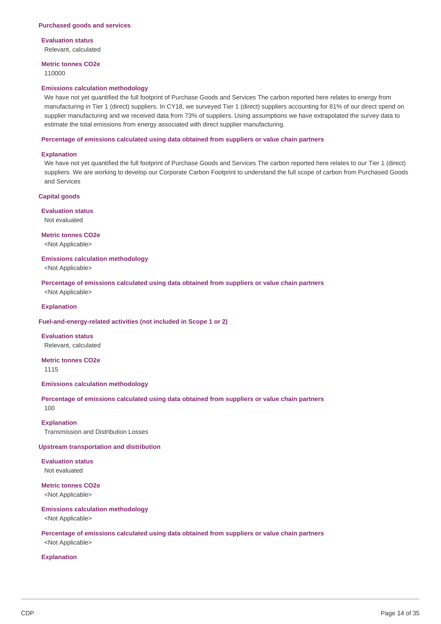## **Evaluation status**

Relevant, calculated

## **Metric tonnes CO2e**

110000

#### **Emissions calculation methodology**

We have not yet quantified the full footprint of Purchase Goods and Services The carbon reported here relates to energy from manufacturing in Tier 1 (direct) suppliers. In CY18, we surveyed Tier 1 (direct) suppliers accounting for 81% of our direct spend on supplier manufacturing and we received data from 73% of suppliers. Using assumptions we have extrapolated the survey data to estimate the total emissions from energy associated with direct supplier manufacturing.

#### **Percentage of emissions calculated using data obtained from suppliers or value chain partners**

#### **Explanation**

We have not yet quantified the full footprint of Purchase Goods and Services The carbon reported here relates to our Tier 1 (direct) suppliers. We are working to develop our Corporate Carbon Footprint to understand the full scope of carbon from Purchased Goods and Services

#### **Capital goods**

**Evaluation status** Not evaluated

**Metric tonnes CO2e**

<Not Applicable>

#### **Emissions calculation methodology**

<Not Applicable>

**Percentage of emissions calculated using data obtained from suppliers or value chain partners** <Not Applicable>

## **Explanation**

#### **Fuel-and-energy-related activities (not included in Scope 1 or 2)**

**Evaluation status** Relevant, calculated

**Metric tonnes CO2e**

1115

#### **Emissions calculation methodology**

#### **Percentage of emissions calculated using data obtained from suppliers or value chain partners** 100

**Explanation** Transmission and Distribution Losses

#### **Upstream transportation and distribution**

**Evaluation status** Not evaluated

**Metric tonnes CO2e**

<Not Applicable>

#### **Emissions calculation methodology**

<Not Applicable>

#### **Percentage of emissions calculated using data obtained from suppliers or value chain partners** <Not Applicable>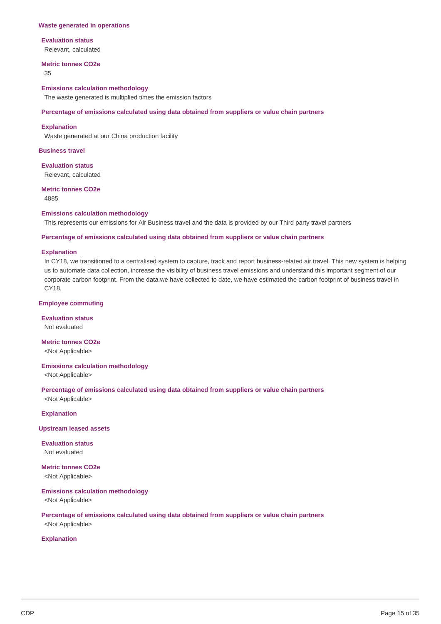#### **Waste generated in operations**

#### **Evaluation status**

Relevant, calculated

### **Metric tonnes CO2e**

35

**Emissions calculation methodology** The waste generated is multiplied times the emission factors

#### **Percentage of emissions calculated using data obtained from suppliers or value chain partners**

#### **Explanation**

Waste generated at our China production facility

### **Business travel**

**Evaluation status** Relevant, calculated

#### **Metric tonnes CO2e** 4885

#### **Emissions calculation methodology**

This represents our emissions for Air Business travel and the data is provided by our Third party travel partners

#### **Percentage of emissions calculated using data obtained from suppliers or value chain partners**

#### **Explanation**

In CY18, we transitioned to a centralised system to capture, track and report business-related air travel. This new system is helping us to automate data collection, increase the visibility of business travel emissions and understand this important segment of our corporate carbon footprint. From the data we have collected to date, we have estimated the carbon footprint of business travel in CY18.

#### **Employee commuting**

**Evaluation status** Not evaluated

**Metric tonnes CO2e** <Not Applicable>

## **Emissions calculation methodology**

<Not Applicable>

**Percentage of emissions calculated using data obtained from suppliers or value chain partners** <Not Applicable>

**Explanation**

#### **Upstream leased assets**

**Evaluation status** Not evaluated

**Metric tonnes CO2e** <Not Applicable>

#### **Emissions calculation methodology**

<Not Applicable>

**Percentage of emissions calculated using data obtained from suppliers or value chain partners** <Not Applicable>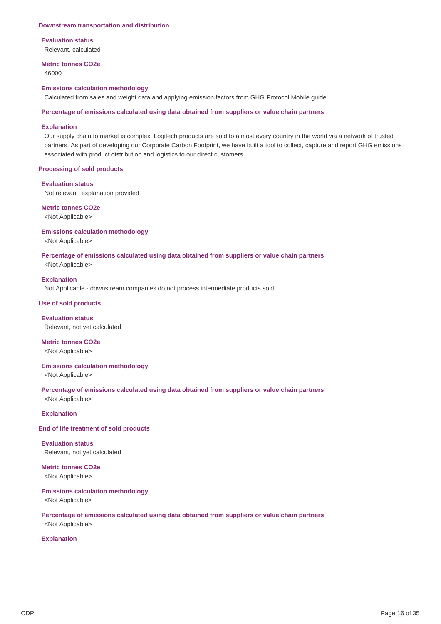### **Downstream transportation and distribution**

#### **Evaluation status**

Relevant, calculated

## **Metric tonnes CO2e**

46000

#### **Emissions calculation methodology**

Calculated from sales and weight data and applying emission factors from GHG Protocol Mobile guide

#### **Percentage of emissions calculated using data obtained from suppliers or value chain partners**

#### **Explanation**

Our supply chain to market is complex. Logitech products are sold to almost every country in the world via a network of trusted partners. As part of developing our Corporate Carbon Footprint, we have built a tool to collect, capture and report GHG emissions associated with product distribution and logistics to our direct customers.

#### **Processing of sold products**

#### **Evaluation status**

Not relevant, explanation provided

#### **Metric tonnes CO2e**

<Not Applicable>

#### **Emissions calculation methodology**

<Not Applicable>

# **Percentage of emissions calculated using data obtained from suppliers or value chain partners**

<Not Applicable>

### **Explanation**

Not Applicable - downstream companies do not process intermediate products sold

#### **Use of sold products**

**Evaluation status** Relevant, not yet calculated

#### **Metric tonnes CO2e** <Not Applicable>

## **Emissions calculation methodology**

<Not Applicable>

#### **Percentage of emissions calculated using data obtained from suppliers or value chain partners** <Not Applicable>

**Explanation**

### **End of life treatment of sold products**

**Evaluation status** Relevant, not yet calculated

## **Metric tonnes CO2e**

<Not Applicable>

#### **Emissions calculation methodology**

<Not Applicable>

### **Percentage of emissions calculated using data obtained from suppliers or value chain partners** <Not Applicable>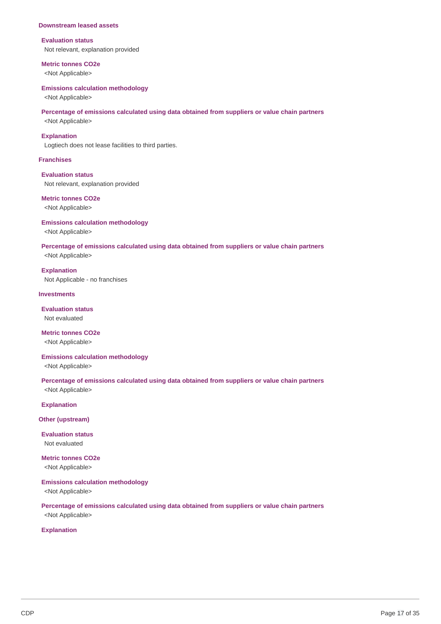#### **Downstream leased assets**

#### **Evaluation status**

Not relevant, explanation provided

#### **Metric tonnes CO2e**

<Not Applicable>

#### **Emissions calculation methodology**

<Not Applicable>

#### **Percentage of emissions calculated using data obtained from suppliers or value chain partners**

<Not Applicable>

#### **Explanation**

Logtiech does not lease facilities to third parties.

#### **Franchises**

#### **Evaluation status**

Not relevant, explanation provided

#### **Metric tonnes CO2e**

<Not Applicable>

#### **Emissions calculation methodology**

<Not Applicable>

#### **Percentage of emissions calculated using data obtained from suppliers or value chain partners**

<Not Applicable>

### **Explanation**

Not Applicable - no franchises

#### **Investments**

#### **Evaluation status**

Not evaluated

#### **Metric tonnes CO2e**

<Not Applicable>

#### **Emissions calculation methodology**

<Not Applicable>

# **Percentage of emissions calculated using data obtained from suppliers or value chain partners**

<Not Applicable>

## **Explanation**

**Other (upstream)**

#### **Evaluation status** Not evaluated

## **Metric tonnes CO2e**

<Not Applicable>

### **Emissions calculation methodology**

<Not Applicable>

### **Percentage of emissions calculated using data obtained from suppliers or value chain partners** <Not Applicable>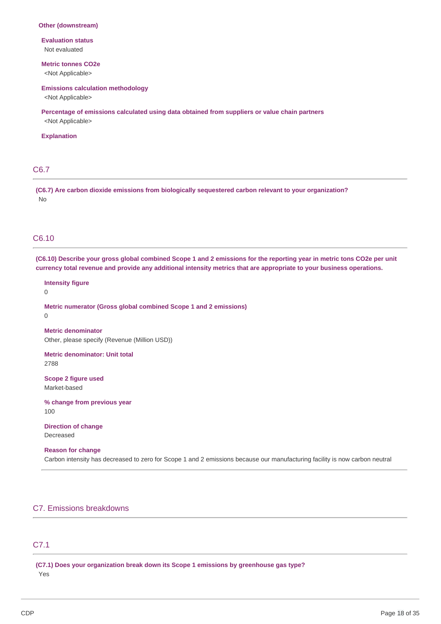#### **Other (downstream)**

**Evaluation status** Not evaluated

## **Metric tonnes CO2e**

<Not Applicable>

#### **Emissions calculation methodology**

<Not Applicable>

**Percentage of emissions calculated using data obtained from suppliers or value chain partners** <Not Applicable>

#### **Explanation**

## C6.7

**(C6.7) Are carbon dioxide emissions from biologically sequestered carbon relevant to your organization?** No

## C6.10

(C6.10) Describe your gross global combined Scope 1 and 2 emissions for the reporting year in metric tons CO2e per unit currency total revenue and provide any additional intensity metrics that are appropriate to your business operations.

 $\Omega$ **Metric numerator (Gross global combined Scope 1 and 2 emissions)** 0 **Metric denominator** Other, please specify (Revenue (Million USD))

**Metric denominator: Unit total** 2788

**Scope 2 figure used** Market-based

**Intensity figure**

**% change from previous year** 100

## **Direction of change**

Decreased

#### **Reason for change**

Carbon intensity has decreased to zero for Scope 1 and 2 emissions because our manufacturing facility is now carbon neutral

## C7. Emissions breakdowns

## C7.1

**(C7.1) Does your organization break down its Scope 1 emissions by greenhouse gas type?** Yes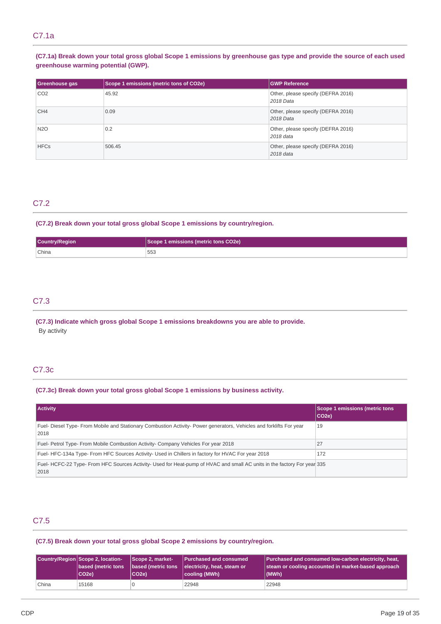## C7.1a

## (C7.1a) Break down your total gross global Scope 1 emissions by greenhouse gas type and provide the source of each used **greenhouse warming potential (GWP).**

| <b>Greenhouse gas</b> | Scope 1 emissions (metric tons of CO2e) | <b>GWP Reference</b>                            |
|-----------------------|-----------------------------------------|-------------------------------------------------|
| CO <sub>2</sub>       | 45.92                                   | Other, please specify (DEFRA 2016)<br>2018 Data |
| CH <sub>4</sub>       | 0.09                                    | Other, please specify (DEFRA 2016)<br>2018 Data |
| <b>N2O</b>            | 0.2                                     | Other, please specify (DEFRA 2016)<br>2018 data |
| <b>HFCs</b>           | 506.45                                  | Other, please specify (DEFRA 2016)<br>2018 data |

## C7.2

## **(C7.2) Break down your total gross global Scope 1 emissions by country/region.**

|       | emissions (metric tons CO2e). |
|-------|-------------------------------|
| China | 553<br>$\cdots$               |

## C7.3

### **(C7.3) Indicate which gross global Scope 1 emissions breakdowns you are able to provide.** By activity

## C7.3c

### **(C7.3c) Break down your total gross global Scope 1 emissions by business activity.**

| <b>Activity</b>                                                                                                                | Scope 1 emissions (metric tons<br>CO <sub>2e</sub> ) |
|--------------------------------------------------------------------------------------------------------------------------------|------------------------------------------------------|
| Fuel- Diesel Type- From Mobile and Stationary Combustion Activity- Power generators, Vehicles and forklifts For year<br>2018   | 19                                                   |
| Fuel-Petrol Type-From Mobile Combustion Activity-Company Vehicles For year 2018                                                | 27                                                   |
| Fuel-HFC-134a Type-From HFC Sources Activity- Used in Chillers in factory for HVAC For year 2018                               | 172                                                  |
| Fuel-HCFC-22 Type-From HFC Sources Activity- Used for Heat-pump of HVAC and small AC units in the factory For year 335<br>2018 |                                                      |

## C7.5

### **(C7.5) Break down your total gross global Scope 2 emissions by country/region.**

|       | Country/Region Scope 2, location-<br>based (metric tons<br> CO2e) | Scope 2, market-<br>based (metric tons<br>CO <sub>2e</sub> ) | Purchased and consumed<br>electricity, heat, steam or<br> cooling (MWh) | Purchased and consumed low-carbon electricity, heat,<br>steam or cooling accounted in market-based approach<br>(MWh) |
|-------|-------------------------------------------------------------------|--------------------------------------------------------------|-------------------------------------------------------------------------|----------------------------------------------------------------------------------------------------------------------|
| China | 15168                                                             |                                                              | 22948                                                                   | 22948                                                                                                                |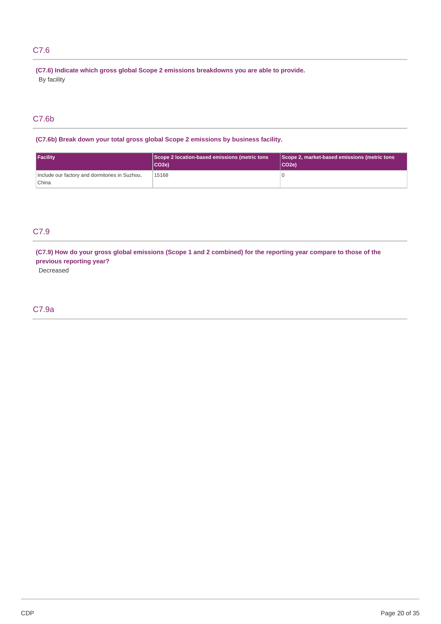## C7.6

**(C7.6) Indicate which gross global Scope 2 emissions breakdowns you are able to provide.** By facility

## C7.6b

**(C7.6b) Break down your total gross global Scope 2 emissions by business facility.**

| <b>Facility</b>                                         | Scope 2 location-based emissions (metric tons<br>lCO2e) | Scope 2, market-based emissions (metric tons<br>CO <sub>2e</sub> ) |
|---------------------------------------------------------|---------------------------------------------------------|--------------------------------------------------------------------|
| Include our factory and dormitories in Suzhou,<br>China | 15168                                                   |                                                                    |

## C7.9

(C7.9) How do your gross global emissions (Scope 1 and 2 combined) for the reporting year compare to those of the **previous reporting year?**

Decreased

## C7.9a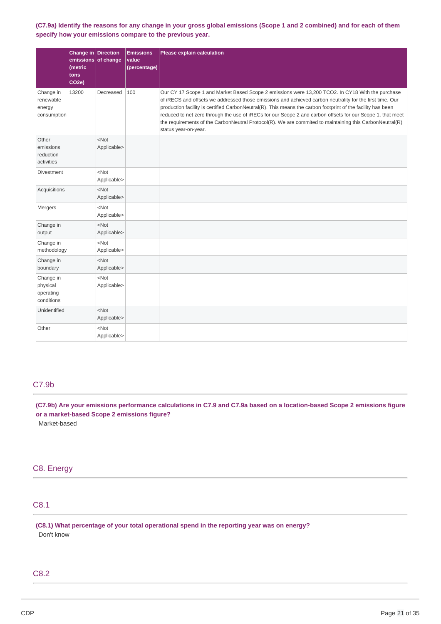(C7.9a) Identify the reasons for any change in your gross global emissions (Scope 1 and 2 combined) and for each of them **specify how your emissions compare to the previous year.**

|                                                  | Change in Direction<br>emissions of change<br>(metric<br>tons<br>CO <sub>2e</sub> ) |                        | <b>Emissions</b><br>value<br>(percentage) | Please explain calculation                                                                                                                                                                                                                                                                                                                                                                                                                                                                                                                                                   |
|--------------------------------------------------|-------------------------------------------------------------------------------------|------------------------|-------------------------------------------|------------------------------------------------------------------------------------------------------------------------------------------------------------------------------------------------------------------------------------------------------------------------------------------------------------------------------------------------------------------------------------------------------------------------------------------------------------------------------------------------------------------------------------------------------------------------------|
| Change in<br>renewable<br>energy<br>consumption  | 13200                                                                               | Decreased              | 100                                       | Our CY 17 Scope 1 and Market Based Scope 2 emissions were 13,200 TCO2. In CY18 With the purchase<br>of iRECS and offsets we addressed those emissions and achieved carbon neutrality for the first time. Our<br>production facility is certified CarbonNeutral(R). This means the carbon footprint of the facility has been<br>reduced to net zero through the use of iRECs for our Scope 2 and carbon offsets for our Scope 1, that meet<br>the requirements of the CarbonNeutral Protocol(R). We are commited to maintaining this CarbonNeutral(R)<br>status year-on-year. |
| Other<br>emissions<br>reduction<br>activities    |                                                                                     | $<$ Not<br>Applicable> |                                           |                                                                                                                                                                                                                                                                                                                                                                                                                                                                                                                                                                              |
| <b>Divestment</b>                                |                                                                                     | $<$ Not<br>Applicable> |                                           |                                                                                                                                                                                                                                                                                                                                                                                                                                                                                                                                                                              |
| Acquisitions                                     |                                                                                     | $<$ Not<br>Applicable> |                                           |                                                                                                                                                                                                                                                                                                                                                                                                                                                                                                                                                                              |
| Mergers                                          |                                                                                     | $<$ Not<br>Applicable> |                                           |                                                                                                                                                                                                                                                                                                                                                                                                                                                                                                                                                                              |
| Change in<br>output                              |                                                                                     | $<$ Not<br>Applicable> |                                           |                                                                                                                                                                                                                                                                                                                                                                                                                                                                                                                                                                              |
| Change in<br>methodology                         |                                                                                     | $<$ Not<br>Applicable> |                                           |                                                                                                                                                                                                                                                                                                                                                                                                                                                                                                                                                                              |
| Change in<br>boundary                            |                                                                                     | $<$ Not<br>Applicable> |                                           |                                                                                                                                                                                                                                                                                                                                                                                                                                                                                                                                                                              |
| Change in<br>physical<br>operating<br>conditions |                                                                                     | $<$ Not<br>Applicable> |                                           |                                                                                                                                                                                                                                                                                                                                                                                                                                                                                                                                                                              |
| Unidentified                                     |                                                                                     | $<$ Not<br>Applicable> |                                           |                                                                                                                                                                                                                                                                                                                                                                                                                                                                                                                                                                              |
| Other                                            |                                                                                     | $<$ Not<br>Applicable> |                                           |                                                                                                                                                                                                                                                                                                                                                                                                                                                                                                                                                                              |

## C7.9b

(C7.9b) Are your emissions performance calculations in C7.9 and C7.9a based on a location-based Scope 2 emissions figure **or a market-based Scope 2 emissions figure?**

Market-based

## C8. Energy

## C8.1

**(C8.1) What percentage of your total operational spend in the reporting year was on energy?** Don't know

## C8.2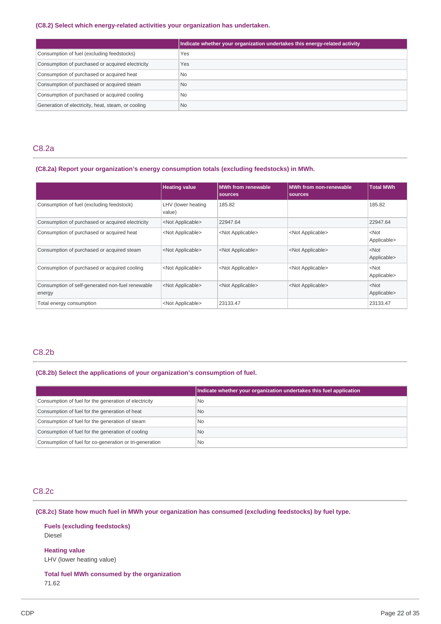#### **(C8.2) Select which energy-related activities your organization has undertaken.**

|                                                    | Indicate whether your organization undertakes this energy-related activity |
|----------------------------------------------------|----------------------------------------------------------------------------|
| Consumption of fuel (excluding feedstocks)         | Yes                                                                        |
| Consumption of purchased or acquired electricity   | Yes                                                                        |
| Consumption of purchased or acquired heat          | <b>No</b>                                                                  |
| Consumption of purchased or acquired steam         | N <sub>0</sub>                                                             |
| Consumption of purchased or acquired cooling       | <b>No</b>                                                                  |
| Generation of electricity, heat, steam, or cooling | <b>No</b>                                                                  |

## C8.2a

### **(C8.2a) Report your organization's energy consumption totals (excluding feedstocks) in MWh.**

|                                                            | <b>Heating value</b>         | <b>MWh</b> from renewable<br>sources | <b>MWh from non-renewable</b><br>sources | <b>Total MWh</b>       |
|------------------------------------------------------------|------------------------------|--------------------------------------|------------------------------------------|------------------------|
| Consumption of fuel (excluding feedstock)                  | LHV (lower heating<br>value) | 185.82                               |                                          | 185.82                 |
| Consumption of purchased or acquired electricity           | <not applicable=""></not>    | 22947.64                             |                                          | 22947.64               |
| Consumption of purchased or acquired heat                  | <not applicable=""></not>    | <not applicable=""></not>            | <not applicable=""></not>                | $<$ Not<br>Applicable> |
| Consumption of purchased or acquired steam                 | <not applicable=""></not>    | <not applicable=""></not>            | <not applicable=""></not>                | $<$ Not<br>Applicable> |
| Consumption of purchased or acquired cooling               | <not applicable=""></not>    | <not applicable=""></not>            | <not applicable=""></not>                | $<$ Not<br>Applicable> |
| Consumption of self-generated non-fuel renewable<br>energy | <not applicable=""></not>    | <not applicable=""></not>            | <not applicable=""></not>                | $<$ Not<br>Applicable> |
| Total energy consumption                                   | <not applicable=""></not>    | 23133.47                             |                                          | 23133.47               |

## C8.2b

### **(C8.2b) Select the applications of your organization's consumption of fuel.**

|                                                         | Indicate whether your organization undertakes this fuel application |
|---------------------------------------------------------|---------------------------------------------------------------------|
| Consumption of fuel for the generation of electricity   | <b>No</b>                                                           |
| Consumption of fuel for the generation of heat          | <b>No</b>                                                           |
| Consumption of fuel for the generation of steam         | <b>No</b>                                                           |
| Consumption of fuel for the generation of cooling       | <b>No</b>                                                           |
| Consumption of fuel for co-generation or tri-generation | No                                                                  |

### C8.2c

**(C8.2c) State how much fuel in MWh your organization has consumed (excluding feedstocks) by fuel type.**

**Fuels (excluding feedstocks)** Diesel

**Heating value** LHV (lower heating value)

**Total fuel MWh consumed by the organization** 71.62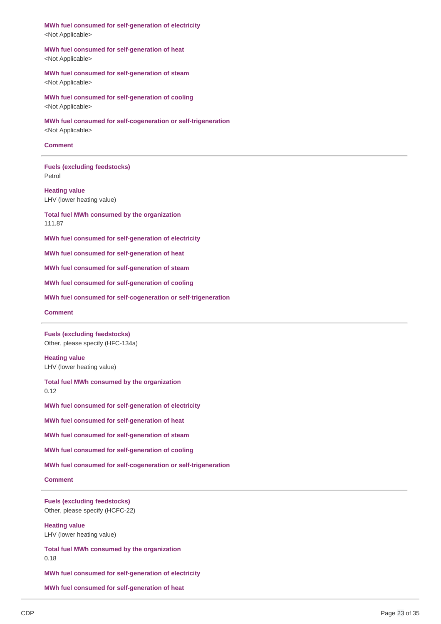**MWh fuel consumed for self-generation of electricity** <Not Applicable>

**MWh fuel consumed for self-generation of heat** <Not Applicable>

**MWh fuel consumed for self-generation of steam** <Not Applicable>

**MWh fuel consumed for self-generation of cooling** <Not Applicable>

**MWh fuel consumed for self-cogeneration or self-trigeneration** <Not Applicable>

#### **Comment**

**Fuels (excluding feedstocks)** Petrol

**Heating value** LHV (lower heating value)

**Total fuel MWh consumed by the organization** 111.87

**MWh fuel consumed for self-generation of electricity**

**MWh fuel consumed for self-generation of heat**

**MWh fuel consumed for self-generation of steam**

**MWh fuel consumed for self-generation of cooling**

**MWh fuel consumed for self-cogeneration or self-trigeneration**

#### **Comment**

**Fuels (excluding feedstocks)** Other, please specify (HFC-134a)

**Heating value** LHV (lower heating value)

**Total fuel MWh consumed by the organization** 0.12

**MWh fuel consumed for self-generation of electricity**

**MWh fuel consumed for self-generation of heat**

**MWh fuel consumed for self-generation of steam**

**MWh fuel consumed for self-generation of cooling**

**MWh fuel consumed for self-cogeneration or self-trigeneration**

**Comment**

**Fuels (excluding feedstocks)** Other, please specify (HCFC-22)

**Heating value** LHV (lower heating value)

**Total fuel MWh consumed by the organization** 0.18

**MWh fuel consumed for self-generation of electricity**

**MWh fuel consumed for self-generation of heat**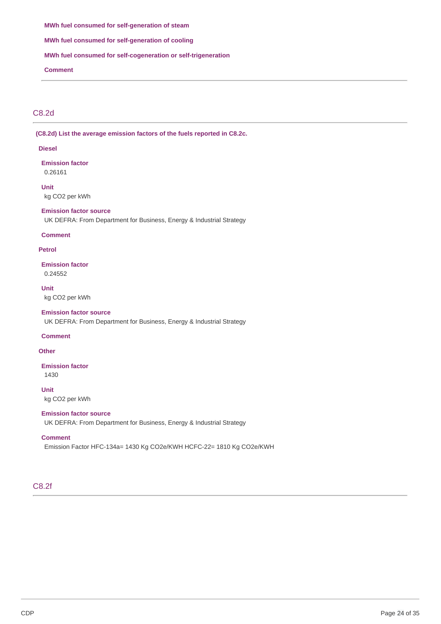#### **MWh fuel consumed for self-generation of steam**

**MWh fuel consumed for self-generation of cooling**

### **MWh fuel consumed for self-cogeneration or self-trigeneration**

**Comment**

## C8.2d

**(C8.2d) List the average emission factors of the fuels reported in C8.2c.**

#### **Diesel**

**Emission factor** 0.26161

**Unit** kg CO2 per kWh

### **Emission factor source**

UK DEFRA: From Department for Business, Energy & Industrial Strategy

#### **Comment**

#### **Petrol**

**Emission factor** 0.24552

**Unit**

kg CO2 per kWh

### **Emission factor source**

UK DEFRA: From Department for Business, Energy & Industrial Strategy

#### **Comment**

**Other**

## **Emission factor**

1430

### **Unit**

kg CO2 per kWh

## **Emission factor source**

UK DEFRA: From Department for Business, Energy & Industrial Strategy

### **Comment**

Emission Factor HFC-134a= 1430 Kg CO2e/KWH HCFC-22= 1810 Kg CO2e/KWH

## C8.2f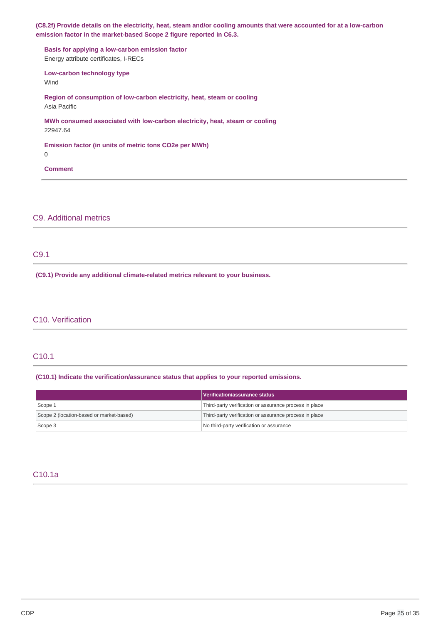(C8.2f) Provide details on the electricity, heat, steam and/or cooling amounts that were accounted for at a low-carbon **emission factor in the market-based Scope 2 figure reported in C6.3.**

**Basis for applying a low-carbon emission factor** Energy attribute certificates, I-RECs **Low-carbon technology type** Wind **Region of consumption of low-carbon electricity, heat, steam or cooling** Asia Pacific **MWh consumed associated with low-carbon electricity, heat, steam or cooling** 22947.64 **Emission factor (in units of metric tons CO2e per MWh)**

0

**Comment**

C9. Additional metrics

C9.1

**(C9.1) Provide any additional climate-related metrics relevant to your business.**

## C10. Verification

## C10.1

### **(C10.1) Indicate the verification/assurance status that applies to your reported emissions.**

|                                          | Verification/assurance status                          |
|------------------------------------------|--------------------------------------------------------|
| Scope 1                                  | Third-party verification or assurance process in place |
| Scope 2 (location-based or market-based) | Third-party verification or assurance process in place |
| Scope 3                                  | No third-party verification or assurance               |

## C10.1a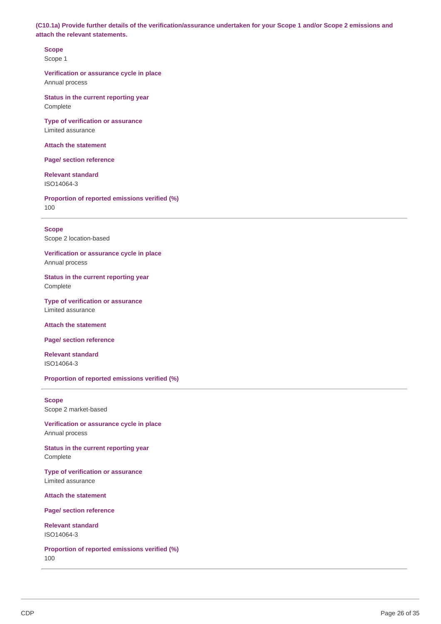(C10.1a) Provide further details of the verification/assurance undertaken for your Scope 1 and/or Scope 2 emissions and **attach the relevant statements.**

**Scope** Scope 1

**Verification or assurance cycle in place** Annual process

**Status in the current reporting year** Complete

**Type of verification or assurance** Limited assurance

**Attach the statement**

**Page/ section reference**

**Relevant standard** ISO14064-3

**Proportion of reported emissions verified (%)** 100

#### **Scope**

Scope 2 location-based

**Verification or assurance cycle in place** Annual process

**Status in the current reporting year** Complete

**Type of verification or assurance** Limited assurance

**Attach the statement**

**Page/ section reference**

**Relevant standard** ISO14064-3

**Proportion of reported emissions verified (%)**

## **Scope**

Scope 2 market-based

**Verification or assurance cycle in place** Annual process

**Status in the current reporting year** Complete

**Type of verification or assurance** Limited assurance

**Attach the statement**

**Page/ section reference**

**Relevant standard** ISO14064-3

**Proportion of reported emissions verified (%)** 100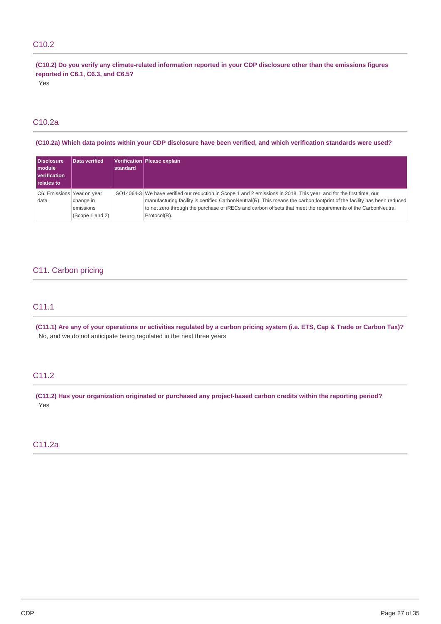## C10.2

(C10.2) Do you verify any climate-related information reported in your CDP disclosure other than the emissions figures **reported in C6.1, C6.3, and C6.5?**

Yes

## C10.2a

(C10.2a) Which data points within your CDP disclosure have been verified, and which verification standards were used?

| <b>Disclosure</b><br><b>I</b> module<br><b>Verification</b><br><b>relates to</b> | Data verified                             | standard | Verification   Please explain                                                                                                                                                                                                                                                                                                                                                  |
|----------------------------------------------------------------------------------|-------------------------------------------|----------|--------------------------------------------------------------------------------------------------------------------------------------------------------------------------------------------------------------------------------------------------------------------------------------------------------------------------------------------------------------------------------|
| C6. Emissions Year on year<br>data                                               | change in<br>emissions<br>(Scope 1 and 2) |          | ISO14064-3 We have verified our reduction in Scope 1 and 2 emissions in 2018. This year, and for the first time, our<br>manufacturing facility is certified CarbonNeutral(R). This means the carbon footprint of the facility has been reduced<br>to net zero through the purchase of iRECs and carbon offsets that meet the requirements of the CarbonNeutral<br>Protocol(R). |

## C11. Carbon pricing

## C11.1

(C11.1) Are any of your operations or activities regulated by a carbon pricing system (i.e. ETS, Cap & Trade or Carbon Tax)? No, and we do not anticipate being regulated in the next three years

## C11.2

**(C11.2) Has your organization originated or purchased any project-based carbon credits within the reporting period?** Yes

## C11.2a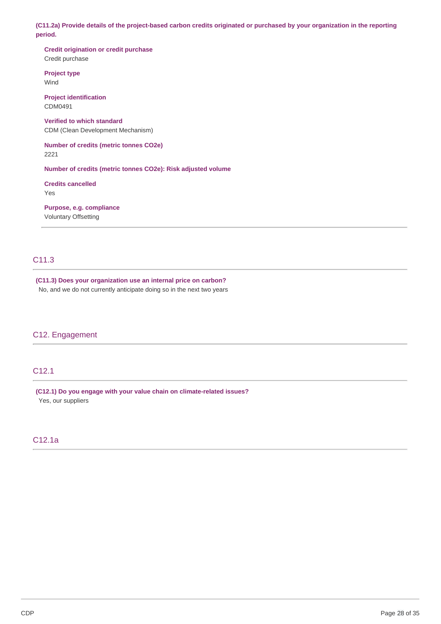(C11.2a) Provide details of the project-based carbon credits originated or purchased by your organization in the reporting **period.**

**Credit origination or credit purchase** Credit purchase

**Project type** Wind

**Project identification** CDM0491

**Verified to which standard** CDM (Clean Development Mechanism)

**Number of credits (metric tonnes CO2e)** 2221

**Number of credits (metric tonnes CO2e): Risk adjusted volume**

**Credits cancelled** Yes

**Purpose, e.g. compliance** Voluntary Offsetting

## C11.3

**(C11.3) Does your organization use an internal price on carbon?** No, and we do not currently anticipate doing so in the next two years

### C12. Engagement

## C12.1

**(C12.1) Do you engage with your value chain on climate-related issues?** Yes, our suppliers

## C12.1a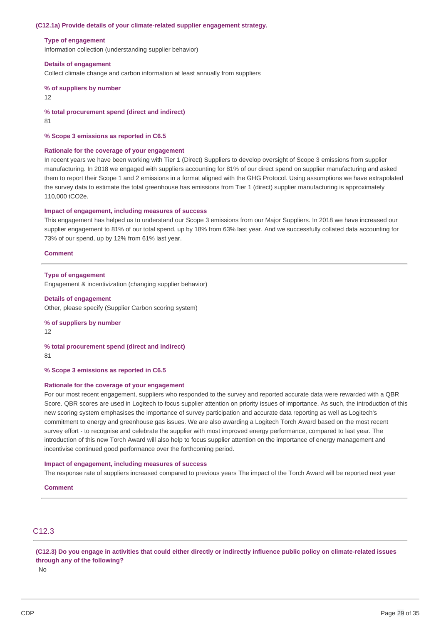#### **(C12.1a) Provide details of your climate-related supplier engagement strategy.**

#### **Type of engagement**

Information collection (understanding supplier behavior)

#### **Details of engagement**

Collect climate change and carbon information at least annually from suppliers

## **% of suppliers by number**

12

**% total procurement spend (direct and indirect)** 81

#### **% Scope 3 emissions as reported in C6.5**

#### **Rationale for the coverage of your engagement**

In recent years we have been working with Tier 1 (Direct) Suppliers to develop oversight of Scope 3 emissions from supplier manufacturing. In 2018 we engaged with suppliers accounting for 81% of our direct spend on supplier manufacturing and asked them to report their Scope 1 and 2 emissions in a format aligned with the GHG Protocol. Using assumptions we have extrapolated the survey data to estimate the total greenhouse has emissions from Tier 1 (direct) supplier manufacturing is approximately 110,000 tCO2e.

#### **Impact of engagement, including measures of success**

This engagement has helped us to understand our Scope 3 emissions from our Major Suppliers. In 2018 we have increased our supplier engagement to 81% of our total spend, up by 18% from 63% last year. And we successfully collated data accounting for 73% of our spend, up by 12% from 61% last year.

#### **Comment**

#### **Type of engagement**

Engagement & incentivization (changing supplier behavior)

## **Details of engagement**

Other, please specify (Supplier Carbon scoring system)

## **% of suppliers by number**

12

#### **% total procurement spend (direct and indirect)** 81

#### **% Scope 3 emissions as reported in C6.5**

#### **Rationale for the coverage of your engagement**

For our most recent engagement, suppliers who responded to the survey and reported accurate data were rewarded with a QBR Score. QBR scores are used in Logitech to focus supplier attention on priority issues of importance. As such, the introduction of this new scoring system emphasises the importance of survey participation and accurate data reporting as well as Logitech's commitment to energy and greenhouse gas issues. We are also awarding a Logitech Torch Award based on the most recent survey effort - to recognise and celebrate the supplier with most improved energy performance, compared to last year. The introduction of this new Torch Award will also help to focus supplier attention on the importance of energy management and incentivise continued good performance over the forthcoming period.

#### **Impact of engagement, including measures of success**

The response rate of suppliers increased compared to previous years The impact of the Torch Award will be reported next year

#### **Comment**

## C12.3

(C12.3) Do you engage in activities that could either directly or indirectly influence public policy on climate-related issues **through any of the following?**

No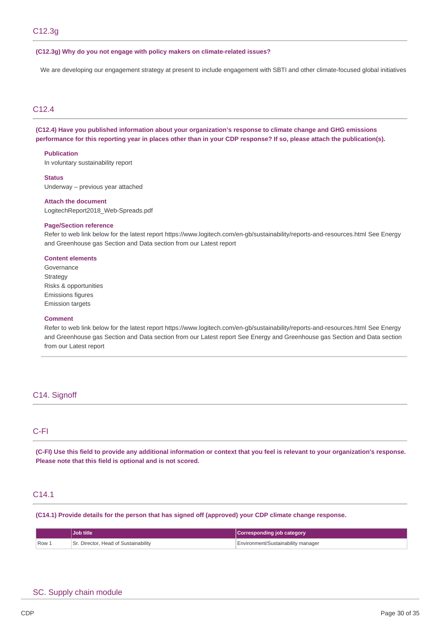#### **(C12.3g) Why do you not engage with policy makers on climate-related issues?**

We are developing our engagement strategy at present to include engagement with SBTI and other climate-focused global initiatives

## C12.4

### **(C12.4) Have you published information about your organization's response to climate change and GHG emissions** performance for this reporting year in places other than in your CDP response? If so, please attach the publication(s).

### **Publication**

In voluntary sustainability report

#### **Status**

Underway – previous year attached

#### **Attach the document**

LogitechReport2018\_Web-Spreads.pdf

#### **Page/Section reference**

Refer to web link below for the latest report https://www.logitech.com/en-gb/sustainability/reports-and-resources.html See Energy and Greenhouse gas Section and Data section from our Latest report

#### **Content elements**

Governance **Strategy** Risks & opportunities Emissions figures Emission targets

#### **Comment**

Refer to web link below for the latest report https://www.logitech.com/en-gb/sustainability/reports-and-resources.html See Energy and Greenhouse gas Section and Data section from our Latest report See Energy and Greenhouse gas Section and Data section from our Latest report

### C14. Signoff

### C-FI

(C-FI) Use this field to provide any additional information or context that you feel is relevant to your organization's response. **Please note that this field is optional and is not scored.**

### C14.1

**(C14.1) Provide details for the person that has signed off (approved) your CDP climate change response.**

|        | Job title                            | Corresponding job category         |
|--------|--------------------------------------|------------------------------------|
| 'Row ⊥ | Sr. Director, Head of Sustainability | Environment/Sustainability manager |

#### SC. Supply chain module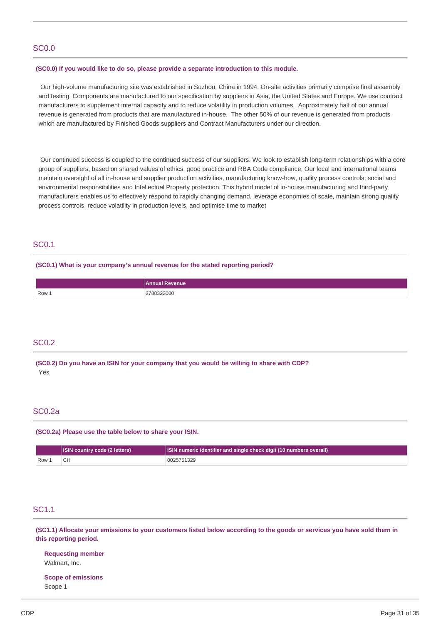### SC0.0

#### **(SC0.0) If you would like to do so, please provide a separate introduction to this module.**

Our high-volume manufacturing site was established in Suzhou, China in 1994. On-site activities primarily comprise final assembly and testing. Components are manufactured to our specification by suppliers in Asia, the United States and Europe. We use contract manufacturers to supplement internal capacity and to reduce volatility in production volumes. Approximately half of our annual revenue is generated from products that are manufactured in-house. The other 50% of our revenue is generated from products which are manufactured by Finished Goods suppliers and Contract Manufacturers under our direction.

Our continued success is coupled to the continued success of our suppliers. We look to establish long-term relationships with a core group of suppliers, based on shared values of ethics, good practice and RBA Code compliance. Our local and international teams maintain oversight of all in-house and supplier production activities, manufacturing know-how, quality process controls, social and environmental responsibilities and Intellectual Property protection. This hybrid model of in-house manufacturing and third-party manufacturers enables us to effectively respond to rapidly changing demand, leverage economies of scale, maintain strong quality process controls, reduce volatility in production levels, and optimise time to market

### SC0.1

#### **(SC0.1) What is your company's annual revenue for the stated reporting period?**

|       | <b>≀evenue</b><br>Annual    |
|-------|-----------------------------|
| Row 1 | $\cdots$<br>2788322000<br>. |

### SC0.2

**(SC0.2) Do you have an ISIN for your company that you would be willing to share with CDP?** Yes

### SC0.2a

**(SC0.2a) Please use the table below to share your ISIN.**

|       | <b>ISIN country code (2 letters)</b> | ISIN numeric identifier and single check digit (10 numbers overall) |
|-------|--------------------------------------|---------------------------------------------------------------------|
| Row 1 |                                      | 0025751329                                                          |

### SC1.1

(SC1.1) Allocate your emissions to your customers listed below according to the goods or services you have sold them in **this reporting period.**

**Requesting member** Walmart, Inc.

**Scope of emissions** Scope 1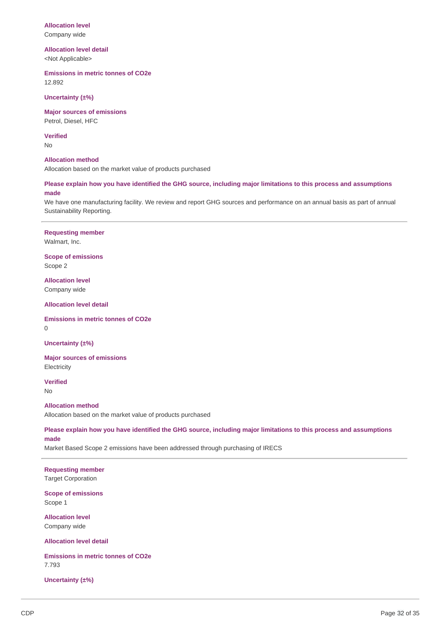### **Allocation level** Company wide

**Allocation level detail** <Not Applicable>

**Emissions in metric tonnes of CO2e** 12.892

**Uncertainty (±%)**

**Major sources of emissions** Petrol, Diesel, HFC

**Verified**

No

#### **Allocation method**

Allocation based on the market value of products purchased

Please explain how you have identified the GHG source, including major limitations to this process and assumptions **made**

We have one manufacturing facility. We review and report GHG sources and performance on an annual basis as part of annual Sustainability Reporting.

## **Requesting member**

Walmart, Inc.

**Scope of emissions** Scope 2

**Allocation level** Company wide

**Allocation level detail**

**Emissions in metric tonnes of CO2e** 0

**Uncertainty (±%)**

**Major sources of emissions Electricity** 

**Verified** No

**Allocation method** Allocation based on the market value of products purchased

Please explain how you have identified the GHG source, including major limitations to this process and assumptions **made**

Market Based Scope 2 emissions have been addressed through purchasing of IRECS

**Requesting member** Target Corporation

**Scope of emissions** Scope 1

**Allocation level** Company wide

**Allocation level detail**

**Emissions in metric tonnes of CO2e** 7.793

**Uncertainty (±%)**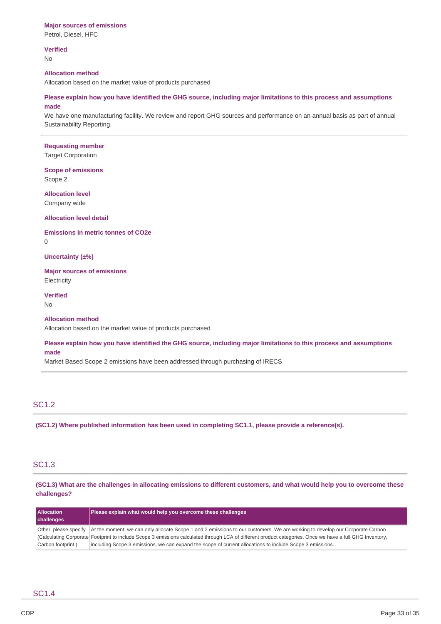#### **Major sources of emissions**

Petrol, Diesel, HFC

**Verified**

No

#### **Allocation method**

Allocation based on the market value of products purchased

Please explain how you have identified the GHG source, including major limitations to this process and assumptions **made**

We have one manufacturing facility. We review and report GHG sources and performance on an annual basis as part of annual Sustainability Reporting.

#### **Requesting member**

Target Corporation

#### **Scope of emissions** Scope 2

**Allocation level** Company wide

#### **Allocation level detail**

**Emissions in metric tonnes of CO2e**

 $\Omega$ 

#### **Uncertainty (±%)**

**Major sources of emissions Electricity** 

**Verified**

No

### **Allocation method**

Allocation based on the market value of products purchased

Please explain how you have identified the GHG source, including major limitations to this process and assumptions **made**

Market Based Scope 2 emissions have been addressed through purchasing of IRECS

## SC1.2

**(SC1.2) Where published information has been used in completing SC1.1, please provide a reference(s).**

## SC1.3

(SC1.3) What are the challenges in allocating emissions to different customers, and what would help you to overcome these **challenges?**

| <b>Allocation</b><br>challenges | Please explain what would help you overcome these challenges                                                                                            |
|---------------------------------|---------------------------------------------------------------------------------------------------------------------------------------------------------|
| Other, please specify           | At the moment, we can only allocate Scope 1 and 2 emissions to our customers. We are working to develop our Corporate Carbon                            |
|                                 | Calculating Corporate Footprint to include Scope 3 emissions calculated through LCA of different product categories. Once we have a full GHG Inventory, |
| Carbon footprint)               | including Scope 3 emissions, we can expand the scope of current allocations to include Scope 3 emissions.                                               |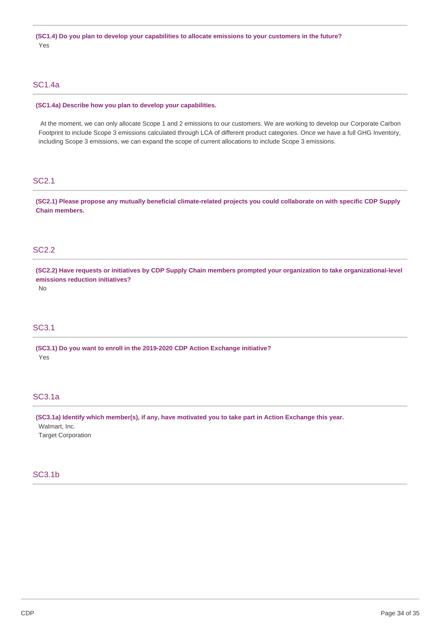**(SC1.4) Do you plan to develop your capabilities to allocate emissions to your customers in the future?** Yes

### SC1.4a

#### **(SC1.4a) Describe how you plan to develop your capabilities.**

At the moment, we can only allocate Scope 1 and 2 emissions to our customers. We are working to develop our Corporate Carbon Footprint to include Scope 3 emissions calculated through LCA of different product categories. Once we have a full GHG Inventory, including Scope 3 emissions, we can expand the scope of current allocations to include Scope 3 emissions.

### SC2.1

(SC2.1) Please propose any mutually beneficial climate-related projects you could collaborate on with specific CDP Supply **Chain members.**

## SC2.2

(SC2.2) Have requests or initiatives by CDP Supply Chain members prompted your organization to take organizational-level **emissions reduction initiatives?**

No

## SC3.1

**(SC3.1) Do you want to enroll in the 2019-2020 CDP Action Exchange initiative?** Yes

### SC3.1a

**(SC3.1a) Identify which member(s), if any, have motivated you to take part in Action Exchange this year.** Walmart, Inc.

Target Corporation

## SC3.1b